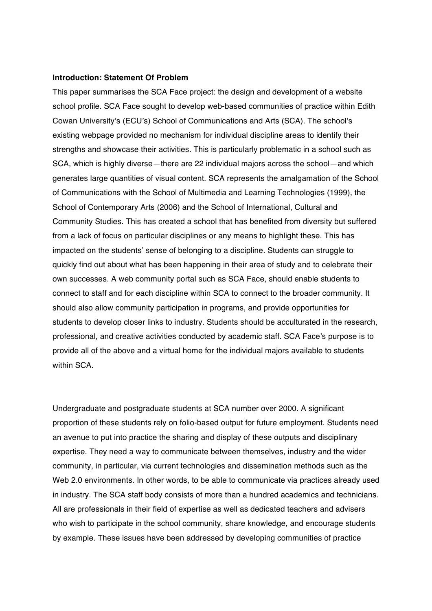### **Introduction: Statement Of Problem**

This paper summarises the SCA Face project: the design and development of a website school profile. SCA Face sought to develop web-based communities of practice within Edith Cowan University's (ECU's) School of Communications and Arts (SCA). The school's existing webpage provided no mechanism for individual discipline areas to identify their strengths and showcase their activities. This is particularly problematic in a school such as SCA, which is highly diverse—there are 22 individual majors across the school—and which generates large quantities of visual content. SCA represents the amalgamation of the School of Communications with the School of Multimedia and Learning Technologies (1999), the School of Contemporary Arts (2006) and the School of International, Cultural and Community Studies. This has created a school that has benefited from diversity but suffered from a lack of focus on particular disciplines or any means to highlight these. This has impacted on the students' sense of belonging to a discipline. Students can struggle to quickly find out about what has been happening in their area of study and to celebrate their own successes. A web community portal such as SCA Face, should enable students to connect to staff and for each discipline within SCA to connect to the broader community. It should also allow community participation in programs, and provide opportunities for students to develop closer links to industry. Students should be acculturated in the research, professional, and creative activities conducted by academic staff. SCA Face's purpose is to provide all of the above and a virtual home for the individual majors available to students within SCA

Undergraduate and postgraduate students at SCA number over 2000. A significant proportion of these students rely on folio-based output for future employment. Students need an avenue to put into practice the sharing and display of these outputs and disciplinary expertise. They need a way to communicate between themselves, industry and the wider community, in particular, via current technologies and dissemination methods such as the Web 2.0 environments. In other words, to be able to communicate via practices already used in industry. The SCA staff body consists of more than a hundred academics and technicians. All are professionals in their field of expertise as well as dedicated teachers and advisers who wish to participate in the school community, share knowledge, and encourage students by example. These issues have been addressed by developing communities of practice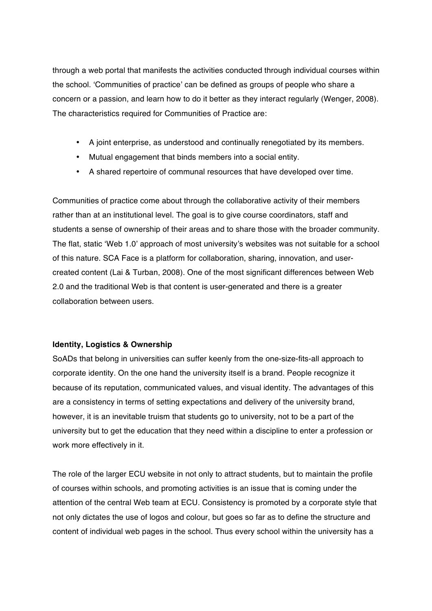through a web portal that manifests the activities conducted through individual courses within the school. 'Communities of practice' can be defined as groups of people who share a concern or a passion, and learn how to do it better as they interact regularly (Wenger, 2008). The characteristics required for Communities of Practice are:

- A joint enterprise, as understood and continually renegotiated by its members.
- Mutual engagement that binds members into a social entity.
- A shared repertoire of communal resources that have developed over time.

Communities of practice come about through the collaborative activity of their members rather than at an institutional level. The goal is to give course coordinators, staff and students a sense of ownership of their areas and to share those with the broader community. The flat, static 'Web 1.0' approach of most university's websites was not suitable for a school of this nature. SCA Face is a platform for collaboration, sharing, innovation, and usercreated content (Lai & Turban, 2008). One of the most significant differences between Web 2.0 and the traditional Web is that content is user-generated and there is a greater collaboration between users.

# **Identity, Logistics & Ownership**

SoADs that belong in universities can suffer keenly from the one-size-fits-all approach to corporate identity. On the one hand the university itself is a brand. People recognize it because of its reputation, communicated values, and visual identity. The advantages of this are a consistency in terms of setting expectations and delivery of the university brand, however, it is an inevitable truism that students go to university, not to be a part of the university but to get the education that they need within a discipline to enter a profession or work more effectively in it.

The role of the larger ECU website in not only to attract students, but to maintain the profile of courses within schools, and promoting activities is an issue that is coming under the attention of the central Web team at ECU. Consistency is promoted by a corporate style that not only dictates the use of logos and colour, but goes so far as to define the structure and content of individual web pages in the school. Thus every school within the university has a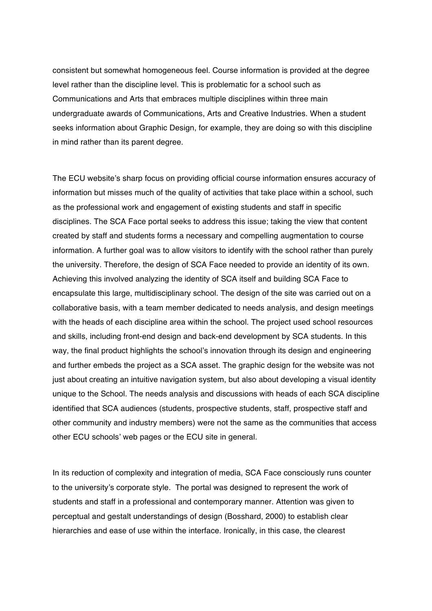consistent but somewhat homogeneous feel. Course information is provided at the degree level rather than the discipline level. This is problematic for a school such as Communications and Arts that embraces multiple disciplines within three main undergraduate awards of Communications, Arts and Creative Industries. When a student seeks information about Graphic Design, for example, they are doing so with this discipline in mind rather than its parent degree.

The ECU website's sharp focus on providing official course information ensures accuracy of information but misses much of the quality of activities that take place within a school, such as the professional work and engagement of existing students and staff in specific disciplines. The SCA Face portal seeks to address this issue; taking the view that content created by staff and students forms a necessary and compelling augmentation to course information. A further goal was to allow visitors to identify with the school rather than purely the university. Therefore, the design of SCA Face needed to provide an identity of its own. Achieving this involved analyzing the identity of SCA itself and building SCA Face to encapsulate this large, multidisciplinary school. The design of the site was carried out on a collaborative basis, with a team member dedicated to needs analysis, and design meetings with the heads of each discipline area within the school. The project used school resources and skills, including front-end design and back-end development by SCA students. In this way, the final product highlights the school's innovation through its design and engineering and further embeds the project as a SCA asset. The graphic design for the website was not just about creating an intuitive navigation system, but also about developing a visual identity unique to the School. The needs analysis and discussions with heads of each SCA discipline identified that SCA audiences (students, prospective students, staff, prospective staff and other community and industry members) were not the same as the communities that access other ECU schools' web pages or the ECU site in general.

In its reduction of complexity and integration of media, SCA Face consciously runs counter to the university's corporate style. The portal was designed to represent the work of students and staff in a professional and contemporary manner. Attention was given to perceptual and gestalt understandings of design (Bosshard, 2000) to establish clear hierarchies and ease of use within the interface. Ironically, in this case, the clearest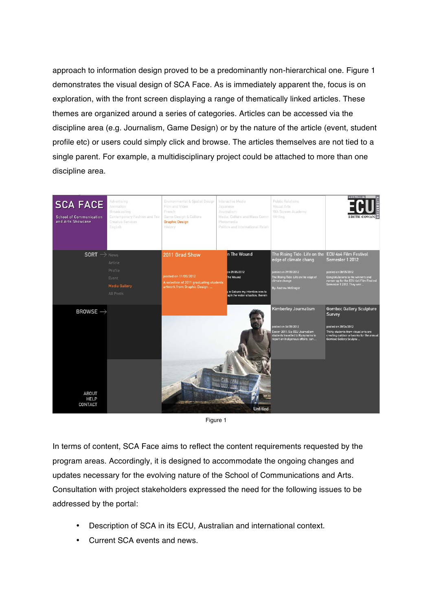approach to information design proved to be a predominantly non-hierarchical one. Figure 1 demonstrates the visual design of SCA Face. As is immediately apparent the, focus is on exploration, with the front screen displaying a range of thematically linked articles. These themes are organized around a series of categories. Articles can be accessed via the discipline area (e.g. Journalism, Game Design) or by the nature of the article (event, student profile etc) or users could simply click and browse. The articles themselves are not tied to a single parent. For example, a multidisciplinary project could be attached to more than one discipline area.



Figure 1

In terms of content, SCA Face aims to reflect the content requirements requested by the program areas. Accordingly, it is designed to accommodate the ongoing changes and updates necessary for the evolving nature of the School of Communications and Arts. Consultation with project stakeholders expressed the need for the following issues to be addressed by the portal:

- Description of SCA in its ECU, Australian and international context.
- Current SCA events and news.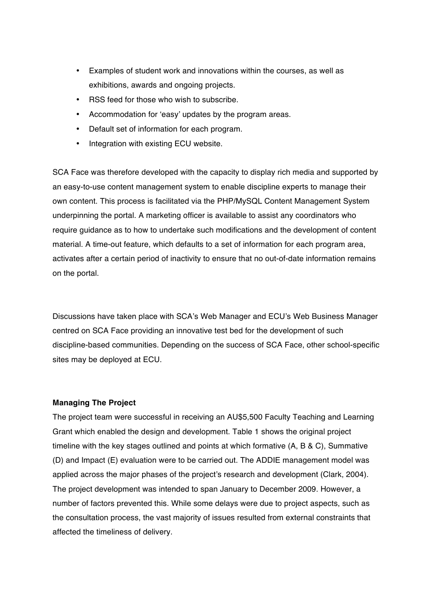- Examples of student work and innovations within the courses, as well as exhibitions, awards and ongoing projects.
- RSS feed for those who wish to subscribe.
- Accommodation for 'easy' updates by the program areas.
- Default set of information for each program.
- Integration with existing ECU website.

SCA Face was therefore developed with the capacity to display rich media and supported by an easy-to-use content management system to enable discipline experts to manage their own content. This process is facilitated via the PHP/MySQL Content Management System underpinning the portal. A marketing officer is available to assist any coordinators who require guidance as to how to undertake such modifications and the development of content material. A time-out feature, which defaults to a set of information for each program area, activates after a certain period of inactivity to ensure that no out-of-date information remains on the portal.

Discussions have taken place with SCA's Web Manager and ECU's Web Business Manager centred on SCA Face providing an innovative test bed for the development of such discipline-based communities. Depending on the success of SCA Face, other school-specific sites may be deployed at ECU.

### **Managing The Project**

The project team were successful in receiving an AU\$5,500 Faculty Teaching and Learning Grant which enabled the design and development. Table 1 shows the original project timeline with the key stages outlined and points at which formative (A, B & C), Summative (D) and Impact (E) evaluation were to be carried out. The ADDIE management model was applied across the major phases of the project's research and development (Clark, 2004). The project development was intended to span January to December 2009. However, a number of factors prevented this. While some delays were due to project aspects, such as the consultation process, the vast majority of issues resulted from external constraints that affected the timeliness of delivery.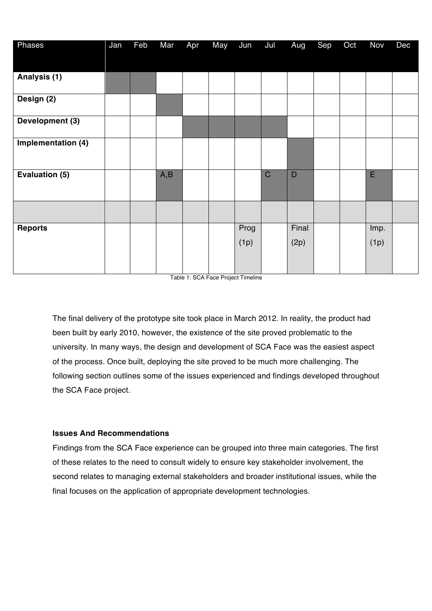| Phases                | Jan | Feb | Mar | Apr | <b>May</b> | Jun          | Jul         | Aug           | Sep | Oct | Nov          | Dec |
|-----------------------|-----|-----|-----|-----|------------|--------------|-------------|---------------|-----|-----|--------------|-----|
|                       |     |     |     |     |            |              |             |               |     |     |              |     |
| Analysis (1)          |     |     |     |     |            |              |             |               |     |     |              |     |
| Design (2)            |     |     |     |     |            |              |             |               |     |     |              |     |
| Development (3)       |     |     |     |     |            |              |             |               |     |     |              |     |
| Implementation (4)    |     |     |     |     |            |              |             |               |     |     |              |     |
| <b>Evaluation (5)</b> |     |     | A,B |     |            |              | $\mathsf C$ | D             |     |     | E            |     |
|                       |     |     |     |     |            |              |             |               |     |     |              |     |
| <b>Reports</b>        |     |     |     |     |            | Prog<br>(1p) |             | Final<br>(2p) |     |     | Imp.<br>(1p) |     |

Table 1: SCA Face Project Timeline

The final delivery of the prototype site took place in March 2012. In reality, the product had been built by early 2010, however, the existence of the site proved problematic to the university. In many ways, the design and development of SCA Face was the easiest aspect of the process. Once built, deploying the site proved to be much more challenging. The following section outlines some of the issues experienced and findings developed throughout the SCA Face project.

# **Issues And Recommendations**

Findings from the SCA Face experience can be grouped into three main categories. The first of these relates to the need to consult widely to ensure key stakeholder involvement, the second relates to managing external stakeholders and broader institutional issues, while the final focuses on the application of appropriate development technologies.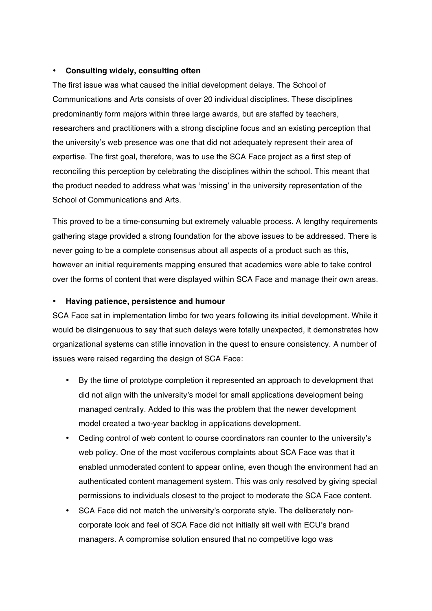## • **Consulting widely, consulting often**

The first issue was what caused the initial development delays. The School of Communications and Arts consists of over 20 individual disciplines. These disciplines predominantly form majors within three large awards, but are staffed by teachers, researchers and practitioners with a strong discipline focus and an existing perception that the university's web presence was one that did not adequately represent their area of expertise. The first goal, therefore, was to use the SCA Face project as a first step of reconciling this perception by celebrating the disciplines within the school. This meant that the product needed to address what was 'missing' in the university representation of the School of Communications and Arts.

This proved to be a time-consuming but extremely valuable process. A lengthy requirements gathering stage provided a strong foundation for the above issues to be addressed. There is never going to be a complete consensus about all aspects of a product such as this, however an initial requirements mapping ensured that academics were able to take control over the forms of content that were displayed within SCA Face and manage their own areas.

## • **Having patience, persistence and humour**

SCA Face sat in implementation limbo for two years following its initial development. While it would be disingenuous to say that such delays were totally unexpected, it demonstrates how organizational systems can stifle innovation in the quest to ensure consistency. A number of issues were raised regarding the design of SCA Face:

- By the time of prototype completion it represented an approach to development that did not align with the university's model for small applications development being managed centrally. Added to this was the problem that the newer development model created a two-year backlog in applications development.
- Ceding control of web content to course coordinators ran counter to the university's web policy. One of the most vociferous complaints about SCA Face was that it enabled unmoderated content to appear online, even though the environment had an authenticated content management system. This was only resolved by giving special permissions to individuals closest to the project to moderate the SCA Face content.
- SCA Face did not match the university's corporate style. The deliberately noncorporate look and feel of SCA Face did not initially sit well with ECU's brand managers. A compromise solution ensured that no competitive logo was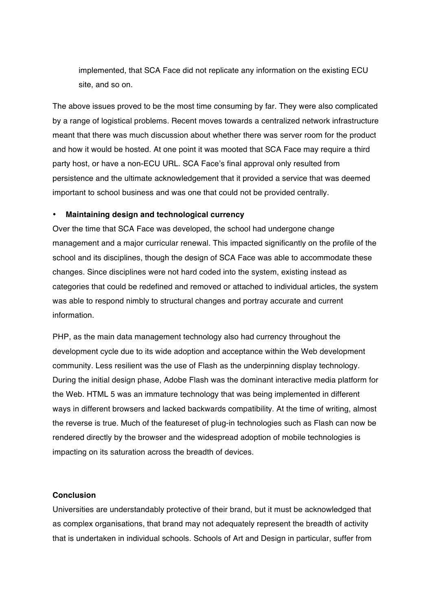implemented, that SCA Face did not replicate any information on the existing ECU site, and so on.

The above issues proved to be the most time consuming by far. They were also complicated by a range of logistical problems. Recent moves towards a centralized network infrastructure meant that there was much discussion about whether there was server room for the product and how it would be hosted. At one point it was mooted that SCA Face may require a third party host, or have a non-ECU URL. SCA Face's final approval only resulted from persistence and the ultimate acknowledgement that it provided a service that was deemed important to school business and was one that could not be provided centrally.

## • **Maintaining design and technological currency**

Over the time that SCA Face was developed, the school had undergone change management and a major curricular renewal. This impacted significantly on the profile of the school and its disciplines, though the design of SCA Face was able to accommodate these changes. Since disciplines were not hard coded into the system, existing instead as categories that could be redefined and removed or attached to individual articles, the system was able to respond nimbly to structural changes and portray accurate and current information.

PHP, as the main data management technology also had currency throughout the development cycle due to its wide adoption and acceptance within the Web development community. Less resilient was the use of Flash as the underpinning display technology. During the initial design phase, Adobe Flash was the dominant interactive media platform for the Web. HTML 5 was an immature technology that was being implemented in different ways in different browsers and lacked backwards compatibility. At the time of writing, almost the reverse is true. Much of the featureset of plug-in technologies such as Flash can now be rendered directly by the browser and the widespread adoption of mobile technologies is impacting on its saturation across the breadth of devices.

### **Conclusion**

Universities are understandably protective of their brand, but it must be acknowledged that as complex organisations, that brand may not adequately represent the breadth of activity that is undertaken in individual schools. Schools of Art and Design in particular, suffer from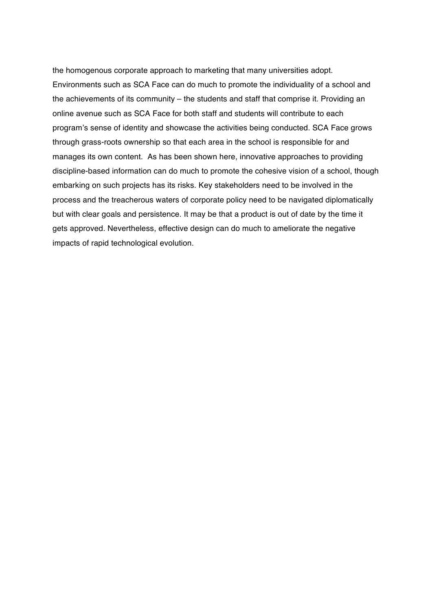the homogenous corporate approach to marketing that many universities adopt. Environments such as SCA Face can do much to promote the individuality of a school and the achievements of its community – the students and staff that comprise it. Providing an online avenue such as SCA Face for both staff and students will contribute to each program's sense of identity and showcase the activities being conducted. SCA Face grows through grass-roots ownership so that each area in the school is responsible for and manages its own content. As has been shown here, innovative approaches to providing discipline-based information can do much to promote the cohesive vision of a school, though embarking on such projects has its risks. Key stakeholders need to be involved in the process and the treacherous waters of corporate policy need to be navigated diplomatically but with clear goals and persistence. It may be that a product is out of date by the time it gets approved. Nevertheless, effective design can do much to ameliorate the negative impacts of rapid technological evolution.